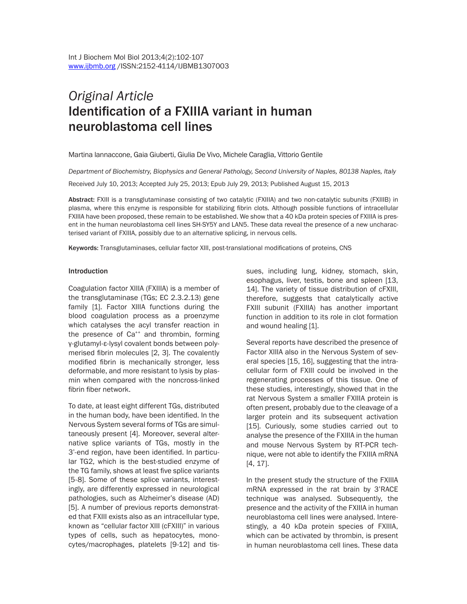# *Original Article* Identification of a FXIIIA variant in human neuroblastoma cell lines

Martina lannaccone, Gaia Giuberti, Giulia De Vivo, Michele Caraglia, Vittorio Gentile

*Department of Biochemistry, Biophysics and General Pathology, Second University of Naples, 80138 Naples, Italy* Received July 10, 2013; Accepted July 25, 2013; Epub July 29, 2013; Published August 15, 2013

Abstract: FXIII is a transglutaminase consisting of two catalytic (FXIIIA) and two non-catalytic subunits (FXIIIB) in plasma, where this enzyme is responsible for stabilizing fibrin clots. Although possible functions of intracellular FXIIIA have been proposed, these remain to be established. We show that a 40 kDa protein species of FXIIIA is present in the human neuroblastoma cell lines SH-SY5Y and LAN5. These data reveal the presence of a new uncharacterised variant of FXIIIA, possibly due to an alternative splicing, in nervous cells.

Keywords: Transglutaminases, cellular factor XIII, post-translational modifications of proteins, CNS

#### Introduction

Coagulation factor XIIIA (FXIIIA) is a member of the transglutaminase (TGs; EC 2.3.2.13) gene family [1]. Factor XIIIA functions during the blood coagulation process as a proenzyme which catalyses the acyl transfer reaction in the presence of Ca<sup>++</sup> and thrombin, forming γ-glutamyl-ε-lysyl covalent bonds between polymerised fibrin molecules [2, 3]. The covalently modified fibrin is mechanically stronger, less deformable, and more resistant to lysis by plasmin when compared with the noncross-linked fibrin fiber network.

To date, at least eight different TGs, distributed in the human body, have been identified. In the Nervous System several forms of TGs are simultaneously present [4]. Moreover, several alternative splice variants of TGs, mostly in the 3'-end region, have been identified. In particular TG2, which is the best-studied enzyme of the TG family, shows at least five splice variants [5-8]. Some of these splice variants, interestingly, are differently expressed in neurological pathologies, such as Alzheimer's disease (AD) [5]. A number of previous reports demonstrated that FXIII exists also as an intracellular type, known as "cellular factor XIII (cFXIII)" in various types of cells, such as hepatocytes, monocytes/macrophages, platelets [9-12] and tissues, including lung, kidney, stomach, skin, esophagus, liver, testis, bone and spleen [13, 14]. The variety of tissue distribution of cFXIII, therefore, suggests that catalytically active FXIII subunit (FXIIIA) has another important function in addition to its role in clot formation and wound healing [1].

Several reports have described the presence of Factor XIIIA also in the Nervous System of several species [15, 16], suggesting that the intracellular form of FXIII could be involved in the regenerating processes of this tissue. One of these studies, interestingly, showed that in the rat Nervous System a smaller FXIIIA protein is often present, probably due to the cleavage of a larger protein and its subsequent activation [15]. Curiously, some studies carried out to analyse the presence of the FXIIIA in the human and mouse Nervous System by RT-PCR technique, were not able to identify the FXIIIA mRNA [4, 17].

In the present study the structure of the FXIIIA mRNA expressed in the rat brain by 3'RACE technique was analysed. Subsequently, the presence and the activity of the FXIIIA in human neuroblastoma cell lines were analysed. Interestingly, a 40 kDa protein species of FXIIIA, which can be activated by thrombin, is present in human neuroblastoma cell lines. These data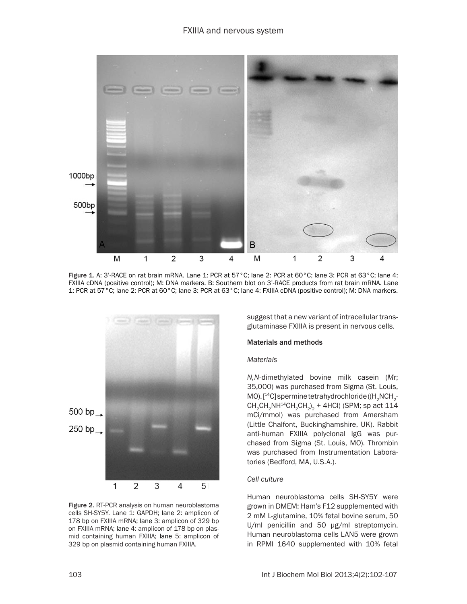

Figure 1. A: 3'-RACE on rat brain mRNA. Lane 1: PCR at 57°C; lane 2: PCR at 60°C; lane 3: PCR at 63°C; lane 4: FXIIIA cDNA (positive control); M: DNA markers. B: Southern blot on 3'-RACE products from rat brain mRNA. Lane 1: PCR at 57°C; lane 2: PCR at 60°C; lane 3: PCR at 63°C; lane 4: FXIIIA cDNA (positive control); M: DNA markers.



Figure 2. RT-PCR analysis on human neuroblastoma cells SH-SY5Y. Lane 1: GAPDH; lane 2: amplicon of 178 bp on FXIIIA mRNA; lane 3: amplicon of 329 bp on FXIIIA mRNA; lane 4: amplicon of 178 bp on plasmid containing human FXIIIA; lane 5: amplicon of 329 bp on plasmid containing human FXIIIA.

suggest that a new variant of intracellular transglutaminase FXIIIA is present in nervous cells.

#### Materials and methods

#### *Materials*

*N,N*-dimethylated bovine milk casein (*M*r; 35,000) was purchased from Sigma (St. Louis, MO).  $[^{14}C]$  spermine tetrahydrochloride ((H<sub>2</sub>NCH<sub>2</sub>- $\mathsf{CH}_2\mathsf{CH}_2\mathsf{NH}^{14}\mathsf{CH}_2\mathsf{CH}_2)_2 + 4\mathsf{HCl}$ ) (SPM; sp act 114 mCi/mmol) was purchased from Amersham (Little Chalfont, Buckinghamshire, UK). Rabbit anti-human FXIIIA polyclonal IgG was purchased from Sigma (St. Louis, MO). Thrombin was purchased from Instrumentation Laboratories (Bedford, MA, U.S.A.).

#### *Cell culture*

Human neuroblastoma cells SH-SY5Y were grown in DMEM: Ham's F12 supplemented with 2 mM L-glutamine, 10% fetal bovine serum, 50 U/ml penicillin and 50 μg/ml streptomycin. Human neuroblastoma cells LAN5 were grown in RPMI 1640 supplemented with 10% fetal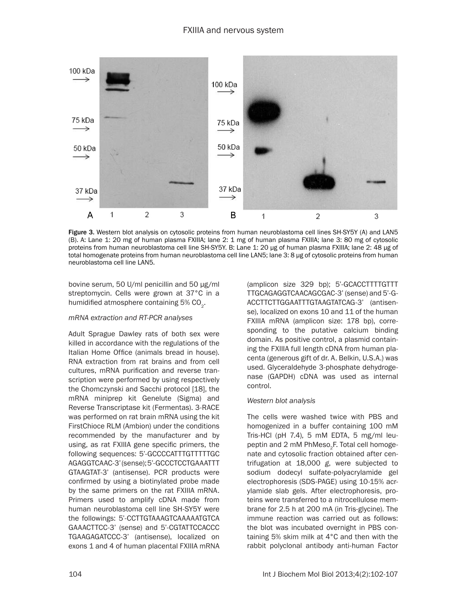

Figure 3. Western blot analysis on cytosolic proteins from human neuroblastoma cell lines SH-SY5Y (A) and LAN5 (B). A: Lane 1: 20 mg of human plasma FXIIIA; lane 2: 1 mg of human plasma FXIIIA; lane 3: 80 mg of cytosolic proteins from human neuroblastoma cell line SH-SY5Y. B: Lane 1: 20 μg of human plasma FXIIIA; lane 2: 48 μg of total homogenate proteins from human neuroblastoma cell line LAN5; lane 3: 8 μg of cytosolic proteins from human neuroblastoma cell line LAN5.

bovine serum, 50 U/ml penicillin and 50 μg/ml streptomycin. Cells were grown at 37°C in a humidified atmosphere containing 5% CO<sub>2</sub>.

#### *mRNA extraction and RT-PCR analyses*

Adult Sprague Dawley rats of both sex were killed in accordance with the regulations of the Italian Home Office (animals bread in house). RNA extraction from rat brains and from cell cultures, mRNA purification and reverse transcription were performed by using respectively the Chomczynski and Sacchi protocol [18], the mRNA miniprep kit Genelute (Sigma) and Reverse Transcriptase kit (Fermentas). 3-RACE was performed on rat brain mRNA using the kit FirstChioce RLM (Ambion) under the conditions recommended by the manufacturer and by using, as rat FXIIIA gene specific primers, the following sequences: 5'-GCCCCATTTGTTTTTGC AGAGGTCAAC-3' (sense); 5'-GCCCTCCTGAAATTT GTAAGTAT-3' (antisense). PCR products were confirmed by using a biotinylated probe made by the same primers on the rat FXIIIA mRNA. Primers used to amplify cDNA made from human neuroblastoma cell line SH-SY5Y were the followings: 5'-CCTTGTAAAGTCAAAAATGTCA GAAACTTCC-3' (sense) and 5'-CGTATTCCACCC TGAAGAGATCCC-3' (antisense), localized on exons 1 and 4 of human placental FXIIIA mRNA

(amplicon size 329 bp); 5'-GCACCTTTTGTTT TTGCAGAGGTCAACAGCGAC-3' (sense) and 5'-G-ACCTTCTTGGAATTTGTAAGTATCAG-3' (antisense), localized on exons 10 and 11 of the human FXIIIA mRNA (amplicon size: 178 bp), corresponding to the putative calcium binding domain. As positive control, a plasmid containing the FXIIIA full length cDNA from human placenta (generous gift of dr. A. Belkin, U.S.A.) was used. Glyceraldehyde 3-phosphate dehydrogenase (GAPDH) cDNA was used as internal control.

#### *Western blot analysis*

The cells were washed twice with PBS and homogenized in a buffer containing 100 mM Tris-HCl (pH 7.4), 5 mM EDTA, 5 mg/ml leupeptin and 2 mM PhMeso<sub>2</sub>F. Total cell homogenate and cytosolic fraction obtained after centrifugation at 18,000 *g*, were subjected to sodium dodecyl sulfate-polyacrylamide gel electrophoresis (SDS-PAGE) using 10-15% acrylamide slab gels. After electrophoresis, proteins were transferred to a nitrocellulose membrane for 2.5 h at 200 mA (in Tris-glycine). The immune reaction was carried out as follows: the blot was incubated overnight in PBS containing 5% skim milk at 4°C and then with the rabbit polyclonal antibody anti-human Factor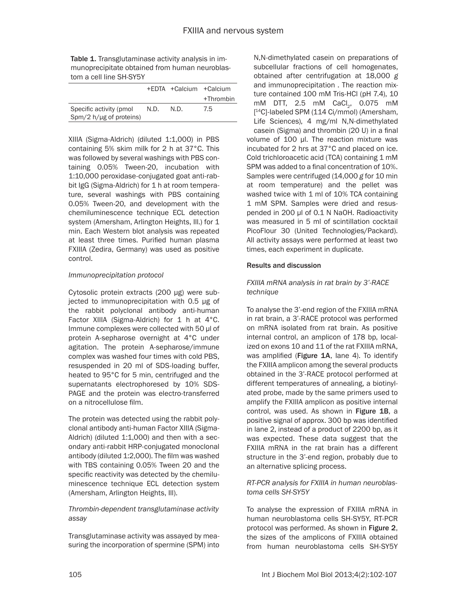Table 1. Transglutaminase activity analysis in immunoprecipitate obtained from human neuroblastom a cell line SH-SY5Y

|                                                       |      | +EDTA +Calcium +Calcium |           |
|-------------------------------------------------------|------|-------------------------|-----------|
|                                                       |      |                         | +Thrombin |
| Specific activity (pmol.<br>$Spm/2 h/µg$ of proteins) | N.D. | N.D.                    | 7.5       |

XIIIA (Sigma-Aldrich) (diluted 1:1,000) in PBS containing 5% skim milk for 2 h at 37°C. This was followed by several washings with PBS containing 0.05% Tween-20, incubation with 1:10,000 peroxidase-conjugated goat anti-rabbit IgG (Sigma-Aldrich) for 1 h at room temperature, several washings with PBS containing 0.05% Tween-20, and development with the chemiluminescence technique ECL detection system (Amersham, Arlington Heights, III.) for 1 min. Each Western blot analysis was repeated at least three times. Purified human plasma FXIIIA (Zedira, Germany) was used as positive control.

#### *Immunoprecipitation protocol*

Cytosolic protein extracts (200 μg) were subjected to immunoprecipitation with 0.5 μg of the rabbit polyclonal antibody anti-human Factor XIIIA (Sigma-Aldrich) for 1 h at 4°C. Immune complexes were collected with 50 μl of protein A-sepharose overnight at 4°C under agitation. The protein A-sepharose/immune complex was washed four times with cold PBS, resuspended in 20 ml of SDS-loading buffer, heated to 95°C for 5 min, centrifuged and the supernatants electrophoresed by 10% SDS-PAGE and the protein was electro-transferred on a nitrocellulose film.

The protein was detected using the rabbit polyclonal antibody anti-human Factor XIIIA (Sigma-Aldrich) (diluted 1:1,000) and then with a secondary anti-rabbit HRP-conjugated monoclonal antibody (diluted 1:2,000). The film was washed with TBS containing 0.05% Tween 20 and the specific reactivity was detected by the chemiluminescence technique ECL detection system (Amersham, Arlington Heights, Ill).

#### *Thrombin-dependent transglutaminase activity assay*

Transglutaminase activity was assayed by measuring the incorporation of spermine (SPM) into

volume of 100 μl. The reaction mixture was incubated for 2 hrs at 37°C and placed on ice. Cold trichloroacetic acid (TCA) containing 1 mM SPM was added to a final concentration of 10%. Samples were centrifuged (14,000 *g* for 10 min at room temperature) and the pellet was washed twice with 1 ml of 10% TCA containing 1 mM SPM. Samples were dried and resuspended in 200 μl of 0.1 N NaOH. Radioactivity was measured in 5 ml of scintillation cocktail PicoFlour 30 (United Technologies/Packard). All activity assays were performed at least two times, each experiment in duplicate. N,N-dimethylated casein on preparations of subcellular fractions of cell homogenates, obtained after centrifugation at 18,000 *g* and immunoprecipitation . The reaction mixture contained 100 mM Tris-HCl (pH 7.4), 10 mM DTT, 2.5 mM CaCl<sub>2</sub>, 0.075 mM [ 14C]-labeled SPM (114 Ci/mmol) (Amersham, Life Sciences), 4 mg/ml N,N-dimethylated casein (Sigma) and thrombin (20 U) in a final

#### Results and discussion

*FXIIIA mRNA analysis in rat brain by 3'-RACE technique*

To analyse the 3'-end region of the FXIIIA mRNA in rat brain, a 3'-RACE protocol was performed on mRNA isolated from rat brain. As positive internal control, an amplicon of 178 bp, localized on exons 10 and 11 of the rat FXIIIA mRNA, was amplified (Figure 1A, lane 4). To identify the FXIIIA amplicon among the several products obtained in the 3'-RACE protocol performed at different temperatures of annealing, a biotinylated probe, made by the same primers used to amplify the FXIIIA amplicon as positive internal control, was used. As shown in Figure 1B, a positive signal of approx. 300 bp was identified in lane 2, instead of a product of 2200 bp, as it was expected. These data suggest that the FXIIIA mRNA in the rat brain has a different structure in the 3'-end region, probably due to an alternative splicing process.

#### *RT-PCR analysis for FXIIIA in human neuroblastoma cells SH-SY5Y*

To analyse the expression of FXIIIA mRNA in human neuroblastoma cells SH-SY5Y, RT-PCR protocol was performed. As shown in Figure 2, the sizes of the amplicons of FXIIIA obtained from human neuroblastoma cells SH-SY5Y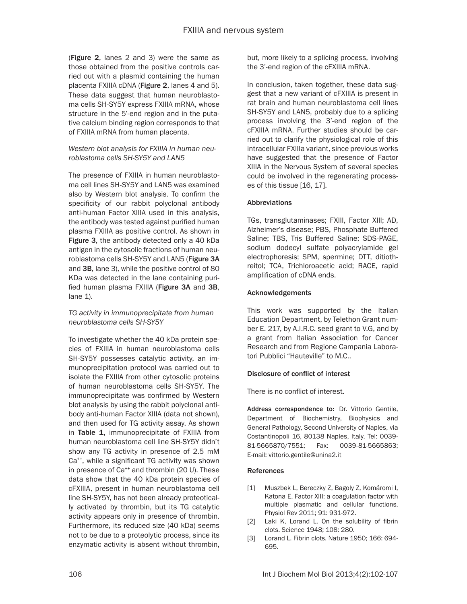(Figure 2, lanes 2 and 3) were the same as those obtained from the positive controls carried out with a plasmid containing the human placenta FXIIIA cDNA (Figure 2, lanes 4 and 5). These data suggest that human neuroblastoma cells SH-SY5Y express FXIIIA mRNA, whose structure in the 5'-end region and in the putative calcium binding region corresponds to that of FXIIIA mRNA from human placenta.

# *Western blot analysis for FXIIIA in human neuroblastoma cells SH-SY5Y and LAN5*

The presence of FXIIIA in human neuroblastoma cell lines SH-SY5Y and LAN5 was examined also by Western blot analysis. To confirm the specificity of our rabbit polyclonal antibody anti-human Factor XIIIA used in this analysis, the antibody was tested against purified human plasma FXIIIA as positive control. As shown in Figure 3, the antibody detected only a 40 kDa antigen in the cytosolic fractions of human neuroblastoma cells SH-SY5Y and LAN5 (Figure 3A and 3B, lane 3), while the positive control of 80 KDa was detected in the lane containing purified human plasma FXIIIA (Figure 3A and 3B, lane 1).

## *TG activity in immunoprecipitate from human neuroblastoma cells SH-SY5Y*

To investigate whether the 40 kDa protein species of FXIIIA in human neuroblastoma cells SH-SY5Y possesses catalytic activity, an immunoprecipitation protocol was carried out to isolate the FXIIIA from other cytosolic proteins of human neuroblastoma cells SH-SY5Y. The immunoprecipitate was confirmed by Western blot analysis by using the rabbit polyclonal antibody anti-human Factor XIIIA (data not shown), and then used for TG activity assay. As shown in Table 1, immunoprecipitate of FXIIIA from human neuroblastoma cell line SH-SY5Y didn't show any TG activity in presence of 2.5 mM Ca<sup>++</sup>, while a significant TG activity was shown in presence of Ca<sup>++</sup> and thrombin (20 U). These data show that the 40 kDa protein species of cFXIIIA, present in human neuroblastoma cell line SH-SY5Y, has not been already proteotically activated by thrombin, but its TG catalytic activity appears only in presence of thrombin. Furthermore, its reduced size (40 kDa) seems not to be due to a proteolytic process, since its enzymatic activity is absent without thrombin, but, more likely to a splicing process, involving the 3'-end region of the cFXIIIA mRNA.

In conclusion, taken together, these data suggest that a new variant of cFXIIIA is present in rat brain and human neuroblastoma cell lines SH-SY5Y and LAN5, probably due to a splicing process involving the 3'-end region of the cFXIIIA mRNA. Further studies should be carried out to clarify the physiological role of this intracellular FXIIIa variant, since previous works have suggested that the presence of Factor XIIIA in the Nervous System of several species could be involved in the regenerating processes of this tissue [16, 17].

## Abbreviations

TGs, transglutaminases; FXIII, Factor XIII; AD, Alzheimer's disease; PBS, Phosphate Buffered Saline; TBS, Tris Buffered Saline; SDS-PAGE, sodium dodecyl sulfate polyacrylamide gel electrophoresis; SPM, spermine; DTT, ditiothreitol; TCA, Trichloroacetic acid; RACE, rapid amplification of cDNA ends.

## Acknowledgements

This work was supported by the Italian Education Department, by Telethon Grant number E. 217, by A.I.R.C. seed grant to V.G, and by a grant from Italian Association for Cancer Research and from Regione Campania Laboratori Pubblici "Hauteville" to M.C..

# Disclosure of conflict of interest

There is no conflict of interest.

Address correspondence to: Dr. Vittorio Gentile, Department of Biochemistry, Biophysics and General Pathology, Second University of Naples, via Costantinopoli 16, 80138 Naples, Italy. Tel: 0039- 81-5665870/7551; Fax: 0039-81-5665863; E-mail: [vittorio.gentile@unina2.it](mailto:vittorio.gentile@unina2.it)

#### **References**

- [1] Muszbek L, Bereczky Z, Bagoly Z, Komáromi I, Katona E. Factor XIII: a coagulation factor with multiple plasmatic and cellular functions. Physiol Rev 2011; 91: 931-972.
- [2] Laki K, Lorand L. On the solubility of fibrin clots. Science 1948; 108: 280.
- [3] Lorand L. Fibrin clots. Nature 1950; 166: 694-695.